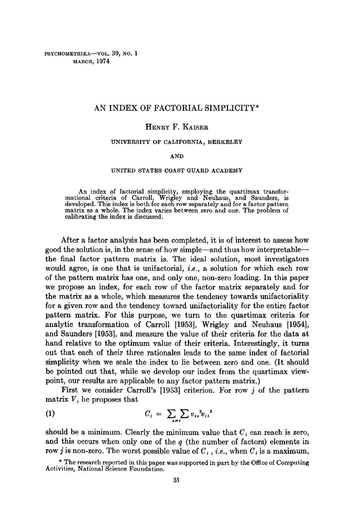PSYCHOMETRIKA-VOL. 39, NO. 1 MARCH, 1974

## AN INDEX OF FACTORIAL SIMPLICITY\*

### HENRY F. KAISER

### UNIVERSITY OF CALIFORNIA, BERKELEY

#### AND

### UNITED STATES COAST GUARD ACADEMY

An index of factorial simplicity, employing the quartimax transformational criteria of Carroll, Wrigley and Neuhaus, and Saunders, is developed. This index is both for each row separately and for a factor pattern matrix as a whole. The index varies between zero and one. The problem of calibrating the index is discussed.

After a factor analysis has been completed, it is of interest to assess how good the solution is, in the sense of how simple--and thus how interpretable- the final factor pattern matrix is. The ideal solution, most investigators would agree, is one that is unifactorial, *i.e.,* a solution for which each row of the pattern matrix has one, and only one, non-zero loading. In this paper we propose an index, for each row of the factor matrix separately and for the matrix as a whole, which measures the tendency towards unifactoriality for a given row and the tendency toward unifactoriality for the entire factor pattern matrix. For this purpose, we turn to the quartimax criteria for analytic transformation of Carroll [1953], Wrigley and Neuhaus [1954], and Saunders [1953], and measure the value of their criteria for the data at hand relative to the optimum value of their criteria. Interestingly, it turns out that each of their three rationales leads to the same index of factorial simplicity when we scale the index to lie between zero and one. (It should be pointed out that, while we develop our index from the quartimax viewpoint, our results are applicable to any factor pattern matrix.)

First we consider Carroll's [1953] criterion. For row j of the pattern matrix V, he proposes that

$$
C_i = \sum_{i \neq i} \sum v_{i\ast}^2 v_{i\ast}^2
$$

should be a minimum. Clearly the minimum value that  $C_i$  can reach is zero, and this occurs when only one of the  $q$  (the number of factors) elements in row *j* is non-zero. The worst possible value of  $C_i$ , *i.e.*, when  $C_i$  is a maximum,

<sup>\*</sup> The research reported in this paper was supported in part by the Office of Computing Activities, National Science Foundation.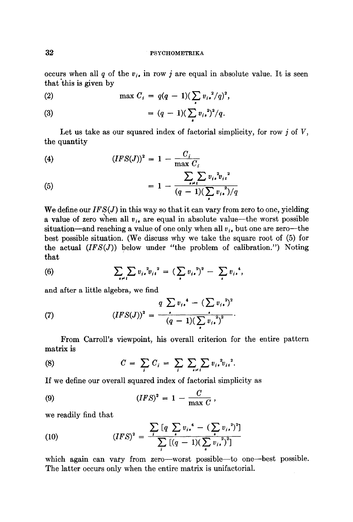### 32 PSYCHOMETRIKA

occurs when all q of the  $v_i$ , in row j are equal in absolute value. It is seen that this is given by

(2) 
$$
\max C_i = q(q-1)(\sum_i v_{i\bullet}^2/q)^2,
$$

(3) 
$$
= (q-1)(\sum_i v_{i*}^2)^2/q.
$$

Let us take as our squared index of factorial simplicity, for row  $j$  of  $V$ , the quantity

(4) 
$$
(IFS(J))^2 = 1 - \frac{C_i}{\max C_i}
$$

(5) 
$$
= 1 - \frac{\sum_{i \neq i} \sum_{i} v_{i,i}^{2} v_{i,i}^{2}}{(q-1)(\sum_{i} v_{i,i})/q}
$$

We define our *IFS(J)* in this way so that it can vary from zero to one, yielding a value of zero when all  $v_i$ , are equal in absolute value—the worst possible situation—and reaching a value of one only when all  $v_i$ , but one are zero—the best possible situation. (We discuss why we take the square root of (5) for the actual  $(IFS(J))$  below under "the problem of calibration.") Noting that

(6) 
$$
\sum_{i \neq i} \sum v_{i}^{2} v_{i}^{2} = (\sum_{i} v_{i}^{2})^{2} - \sum_{i} v_{i}^{4},
$$

and after a little algebra, we find

(7) 
$$
(IFS(J))^{2} = \frac{q \sum v_{i\bullet}^{4} - (\sum v_{i\bullet})^{2}}{(q-1)(\sum_{i} v_{i\bullet})^{2}}.
$$

From Carroll's viewpoint, his overall criterion for the entire pattern matrix is

(8) 
$$
C = \sum_{i} C_{i} = \sum_{i} \sum_{s \neq i} \sum_{v_{i}} v_{i}^{2} v_{i}^{2}.
$$

If we define our overall squared index of factorial simplicity as

(9) 
$$
(IFS)^{2} = 1 - \frac{C}{\max C},
$$

we readily find that

(10) 
$$
(IFS)^{2} = \frac{\sum_{i} [q \sum_{i} v_{i,}^{4} - (\sum_{i} v_{i,}^{2})^{2}]}{\sum_{i} [(q - 1)(\sum_{i} v_{i,}^{2})^{2}]}
$$

which again can vary from zero--worst possible--to one--best possible. The latter occurs only when the entire matrix is unifactorial.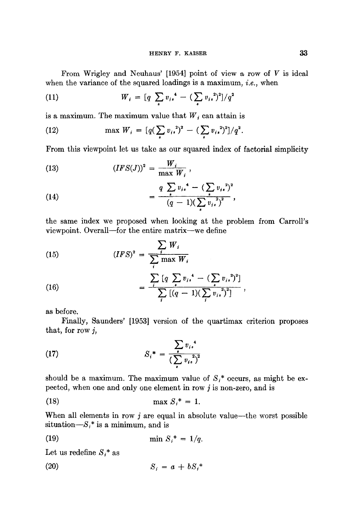From Wrigley and Neuhaus'  $[1954]$  point of view a row of  $V$  is ideal when the variance of the squared loadings is a maximum, *i.e.,* when

(11) 
$$
W_{i} = [q \sum_{i} v_{i}^{4} - (\sum_{i} v_{i}^{2})^{2}]/q^{2}
$$

is a maximum. The maximum value that  $W_i$  can attain is

(12) 
$$
\max W_i = \frac{q(\sum_i v_i)^2 - (\sum_i v_i)^2}{q^2}.
$$

From this viewpoint let us take as our squared index of factorial simplicity

(13) 
$$
(IFS(J))^{2} = \frac{W_{i}}{\max W_{i}} ,
$$

(14) 
$$
= \frac{q \sum_{s} v_{is}^{4} - (\sum_{s} v_{is}^{2})^{2}}{(q-1)(\sum_{s} v_{is}^{2})^{2}},
$$

the same index we proposed when looking at the problem from Carroll's viewpoint. Overall--for the entire matrix--we define

(15) 
$$
(IFS)^{2} = \frac{\sum_{i} W_{i}}{\sum_{i} \max W_{i}}
$$

(16) 
$$
= \frac{\sum_i [q \sum_i v_{i\star}^4 - (\sum_i v_{i\star}^2)^2]}{\sum_i [(q-1)(\sum_i v_{i\star}^2)^2]},
$$

as before.

Finally, Saunders' [1953] version of the quartimax criterion proposes that, for row j,

(17) 
$$
S_i^* = \frac{\sum_i v_{i*}^4}{(\sum_i v_{i*}^2)^2}
$$

should be a maximum. The maximum value of  $S_i^*$  occurs, as might be expected, when one and only one element in row  $j$  is non-zero, and is

$$
\max S_i^* = 1.
$$

When all elements in row  $j$  are equal in absolute value--the worst possible situation $-S_i^*$  is a minimum, and is

$$
\min S_i^* = 1/q.
$$

Let us redefine  $S_i^*$  as

$$
(20) \t\t S_i = a + bS_i^*
$$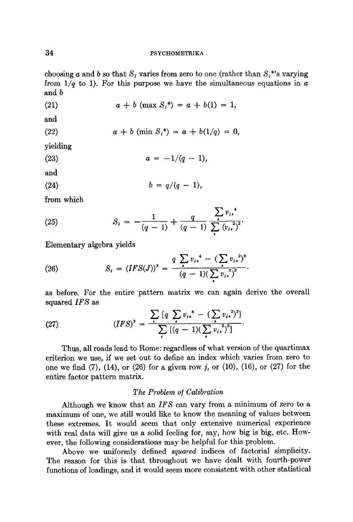## 34 PSYCHOMETRIKA

choosing a and b so that  $S_i$  varies from zero to one (rather than  $S_i^*$ 's varying from  $1/q$  to 1). For this purpose we have the simultaneous equations in  $a$ and b

(21) 
$$
a + b \, (\text{max } S_i^*) = a + b(1) = 1,
$$

and

(22) 
$$
a + b \; (\min S_i^*) = a + b(1/q) = 0,
$$

yielding

(23) 
$$
a = -1/(q-1),
$$

and

$$
(24) \t\t b = q/(q-1),
$$

from which

(25) 
$$
S_{i} = -\frac{1}{(q-1)} + \frac{q}{(q-1)} \sum_{i}^{p_{i}} \frac{\sum_{i}^{q_{i}} v_{i}}{\sum_{i}^{q_{i}} (v_{i})^{2}}.
$$

Elementary algebra yields

(26) 
$$
S_{i} = (IFS(J))^{2} = \frac{q \sum v_{i*}^{4} - (\sum v_{i*})^{2}}{(q-1)(\sum_{i} v_{i*})^{2}}.
$$

as before. For the entire pattern matrix we can again derive the overall squared *IFS* as

(27) 
$$
(IFS)^{2} = \frac{\sum_{i} [q \sum_{i} v_{i,}^{*} - (\sum_{i} v_{i,}^{2})^{2}]}{\sum_{i} [(q - 1)(\sum_{i} v_{i,}^{2})^{2}]}.
$$

Thus, all roads lead to Rome: regardless of what version of the quartimax criterion we use, if we set out to define an index which varies from zero to one we find (7), (14), or (26) for a given row  $j$ , or (10), (16), or (27) for the entire factor pattern matrix.

## *The Problem of Calibration*

Although we know that an *IFS* can vary from a minimum of zero to a maximum of one, we still would like to know the meaning of values between these extremes. It would seem that only extensive numerical experience with real data will give us a solid feeling for, say, how big is big, etc. However, the following considerations may be helpful for this problem.

Above we uniformly defined *squared* indices of factorial simplicity. The reason for this is that throughout we have dealt with fourth-power functions of loadings, and it would seem more consistent with other statistical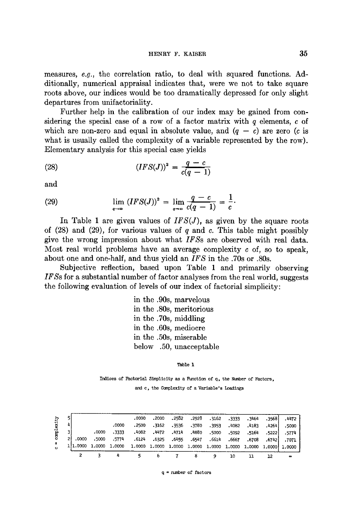measures, *e.g.,* the correlation ratio, to deal with squared functions. Additionally, numerical appraisal indicates that, were we not to take square roots above, our indices would be too dramatically depressed for only slight departures from unifactoriality.

Further help in the calibration of our index may be gained from considering the special case of a row of a factor matrix with  $q$  elements, c of which are non-zero and equal in absolute value, and  $(q - c)$  are zero (c is what is usually called the complexity of a variable represented by the row). Elementary analysis for this special case yields

(28) 
$$
(IFS(J))^{2} = \frac{q-c}{c(q-1)}
$$

and

(29) 
$$
\lim_{q \to \infty} (IFS(J))^2 = \lim_{q \to \infty} \frac{q - c}{c(q - 1)} = \frac{1}{c}.
$$

In Table 1 are given values of *IFS(J),* as given by the square roots of  $(28)$  and  $(29)$ , for various values of q and c. This table might possibly give the wrong impression about what *IFSs* are observed with real data. Most real world problems have an average complexity  $c$  of, so to speak, about one and one-half, and thus yield an *IFS* in the .70s or .80s.

Subjective reflection, based upon Table 1 and primarily observing *IFSs* for a substantial number of factor analyses from the real world, suggests the following evaluation of levels of our index of factorial simplicity:

> in the .90s, marvelous in the .80s, meritorious in the .70s, middling in the .60s, mediocre in the .50s, miserable below .50, unacceptable

> > Table I

Indices of Factorial Simplicity as a Function of q, the Number of Factors,

and c, the Complexity of a Variable's Loadings

|            |          |       |       |                                                  |        |       |                               |            | 10     | 11     | 12       | $\bullet$            |
|------------|----------|-------|-------|--------------------------------------------------|--------|-------|-------------------------------|------------|--------|--------|----------|----------------------|
| $\epsilon$ | 111.0000 |       |       | 1.0000 1.0000 1.0000 1.0000 1.0000 1.0000 1.0000 |        |       |                               |            | 1.0000 |        |          | 1,0000 1,0000 1,0000 |
| H.         | .0000    | .5000 | .5774 |                                                  |        |       | .6124 .6325 .6455 .6547 .6614 |            | .6667  | .6708  |          | .6742 7071           |
| complexity |          | .0000 | .3333 | -4082                                            | ,4472  | .4714 |                               | ,4880.5000 | .5092  | .5164  | . 5222   | . 5774               |
|            |          |       | -0000 | .2500                                            | . 3162 | .3536 | .3780                         | - 3953     | -4082  | .4183  | $-42641$ | .5000                |
|            |          |       |       | .0000                                            | .2000  | .2582 | .2928                         | .3162      | .3333  | - 3464 | .35681   | . 4472               |

 $q =$  number of factors